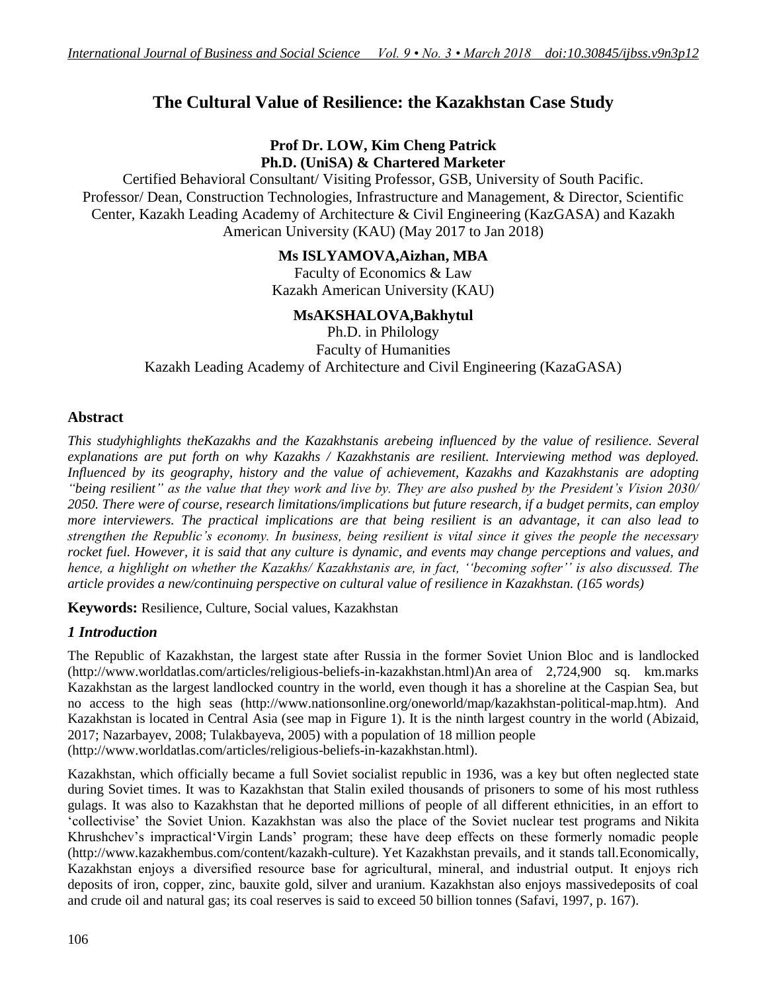# **The Cultural Value of Resilience: the Kazakhstan Case Study**

# **Prof Dr. LOW, Kim Cheng Patrick Ph.D. (UniSA) & Chartered Marketer**

Certified Behavioral Consultant/ Visiting Professor, GSB, University of South Pacific. Professor/ Dean, Construction Technologies, Infrastructure and Management, & Director, Scientific Center, Kazakh Leading Academy of Architecture & Civil Engineering (KazGASA) and Kazakh American University (KAU) (May 2017 to Jan 2018)

# **Ms ISLYAMOVA,Aizhan, MBA**

Faculty of Economics & Law Kazakh American University (KAU)

# **MsAKSHALOVA,Bakhytul**

Ph.D. in Philology Faculty of Humanities Kazakh Leading Academy of Architecture and Civil Engineering (KazaGASA)

# **Abstract**

*This studyhighlights theKazakhs and the Kazakhstanis arebeing influenced by the value of resilience. Several explanations are put forth on why Kazakhs / Kazakhstanis are resilient. Interviewing method was deployed. Influenced by its geography, history and the value of achievement, Kazakhs and Kazakhstanis are adopting "being resilient" as the value that they work and live by. They are also pushed by the President"s Vision 2030/ 2050. There were of course, research limitations/implications but future research, if a budget permits, can employ more interviewers. The practical implications are that being resilient is an advantage, it can also lead to strengthen the Republic"s economy. In business, being resilient is vital since it gives the people the necessary rocket fuel. However, it is said that any culture is dynamic, and events may change perceptions and values, and hence, a highlight on whether the Kazakhs/ Kazakhstanis are, in fact, ""becoming softer"" is also discussed. The article provides a new/continuing perspective on cultural value of resilience in Kazakhstan. (165 words)*

**Keywords:** Resilience, Culture, Social values, Kazakhstan

# *1 Introduction*

The Republic of Kazakhstan, the largest state after Russia in the former Soviet Union Bloc and is landlocked (http://www.worldatlas.com/articles/religious-beliefs-in-kazakhstan.html)An area of 2,724,900 sq. km.marks Kazakhstan as the largest landlocked country in the world, even though it has a shoreline at the Caspian Sea, but no access to the high seas (http://www.nationsonline.org/oneworld/map/kazakhstan-political-map.htm). And Kazakhstan is located in Central Asia (see map in Figure 1). It is the ninth largest country in the world (Abizaid, 2017; Nazarbayev, 2008; Tulakbayeva, 2005) with a population of 18 million people (http://www.worldatlas.com/articles/religious-beliefs-in-kazakhstan.html).

Kazakhstan, which officially became a full Soviet socialist republic in 1936, was a key but often neglected state during Soviet times. It was to Kazakhstan that Stalin exiled thousands of prisoners to some of his most ruthless gulags. It was also to Kazakhstan that he deported millions of people of all different ethnicities, in an effort to "collectivise" the Soviet Union. Kazakhstan was also the place of the Soviet nuclear test programs and Nikita Khrushchev's impractical 'Virgin Lands' program; these have deep effects on these formerly nomadic people (http://www.kazakhembus.com/content/kazakh-culture). Yet Kazakhstan prevails, and it stands tall.Economically, Kazakhstan enjoys a diversified resource base for agricultural, mineral, and industrial output. It enjoys rich deposits of iron, copper, zinc, bauxite gold, silver and uranium. Kazakhstan also enjoys massivedeposits of coal and crude oil and natural gas; its coal reserves is said to exceed 50 billion tonnes (Safavi, 1997, p. 167).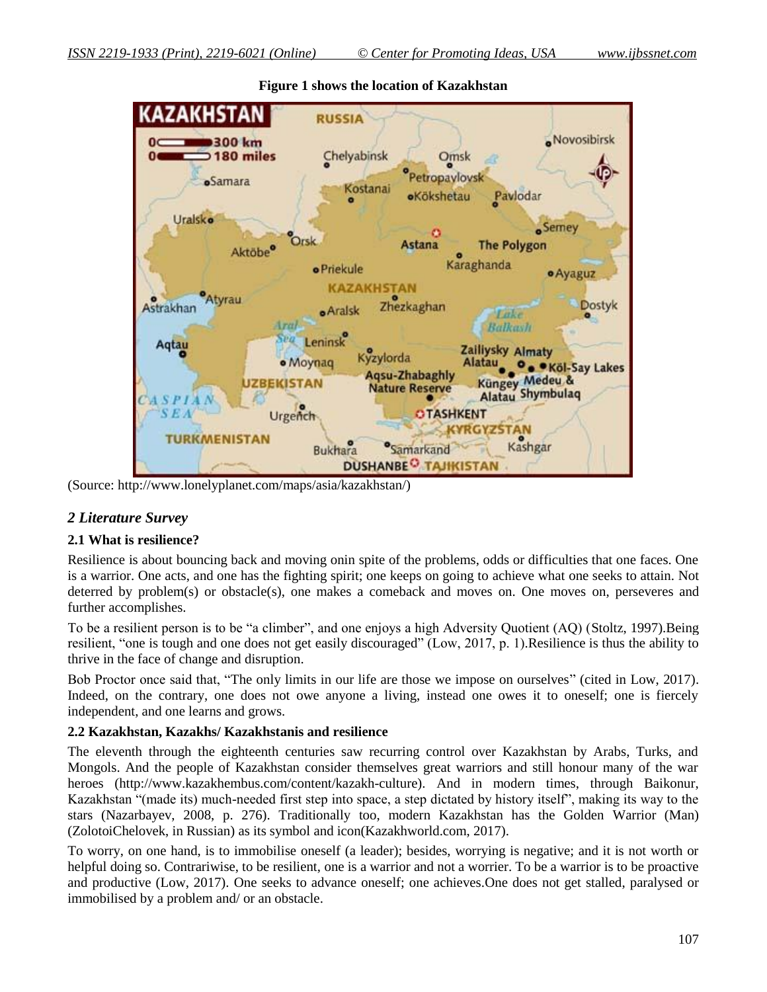

**Figure 1 shows the location of Kazakhstan**

(Source: http://www.lonelyplanet.com/maps/asia/kazakhstan/)

# *2 Literature Survey*

### **2.1 What is resilience?**

Resilience is about bouncing back and moving onin spite of the problems, odds or difficulties that one faces. One is a warrior. One acts, and one has the fighting spirit; one keeps on going to achieve what one seeks to attain. Not deterred by problem(s) or obstacle(s), one makes a comeback and moves on. One moves on, perseveres and further accomplishes.

To be a resilient person is to be "a climber", and one enjoys a high Adversity Quotient (AQ) (Stoltz, 1997).Being resilient, "one is tough and one does not get easily discouraged" (Low, 2017, p. 1).Resilience is thus the ability to thrive in the face of change and disruption.

Bob Proctor once said that, "The only limits in our life are those we impose on ourselves" (cited in Low, 2017). Indeed, on the contrary, one does not owe anyone a living, instead one owes it to oneself; one is fiercely independent, and one learns and grows.

### **2.2 Kazakhstan, Kazakhs/ Kazakhstanis and resilience**

The eleventh through the eighteenth centuries saw recurring control over Kazakhstan by Arabs, Turks, and Mongols. And the people of Kazakhstan consider themselves great warriors and still honour many of the war heroes (http://www.kazakhembus.com/content/kazakh-culture). And in modern times, through Baikonur, Kazakhstan "(made its) much-needed first step into space, a step dictated by history itself", making its way to the stars (Nazarbayev, 2008, p. 276). Traditionally too, modern Kazakhstan has the Golden Warrior (Man) (ZolotoiChelovek, in Russian) as its symbol and icon(Kazakhworld.com, 2017).

To worry, on one hand, is to immobilise oneself (a leader); besides, worrying is negative; and it is not worth or helpful doing so. Contrariwise, to be resilient, one is a warrior and not a worrier. To be a warrior is to be proactive and productive (Low, 2017). One seeks to advance oneself; one achieves.One does not get stalled, paralysed or immobilised by a problem and/ or an obstacle.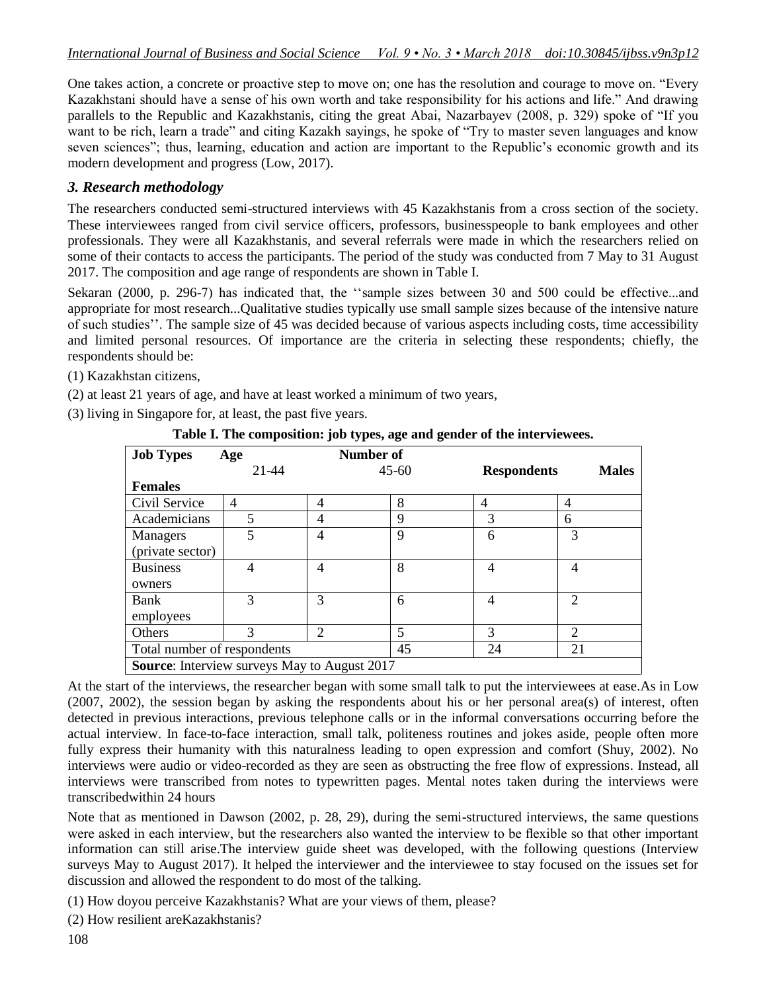One takes action, a concrete or proactive step to move on; one has the resolution and courage to move on. "Every Kazakhstani should have a sense of his own worth and take responsibility for his actions and life." And drawing parallels to the Republic and Kazakhstanis, citing the great Abai, Nazarbayev (2008, p. 329) spoke of "If you want to be rich, learn a trade" and citing Kazakh sayings, he spoke of "Try to master seven languages and know seven sciences"; thus, learning, education and action are important to the Republic's economic growth and its modern development and progress (Low, 2017).

# *3. Research methodology*

The researchers conducted semi-structured interviews with 45 Kazakhstanis from a cross section of the society. These interviewees ranged from civil service officers, professors, businesspeople to bank employees and other professionals. They were all Kazakhstanis, and several referrals were made in which the researchers relied on some of their contacts to access the participants. The period of the study was conducted from 7 May to 31 August 2017. The composition and age range of respondents are shown in Table I.

Sekaran (2000, p. 296-7) has indicated that, the ""sample sizes between 30 and 500 could be effective...and appropriate for most research...Qualitative studies typically use small sample sizes because of the intensive nature of such studies"". The sample size of 45 was decided because of various aspects including costs, time accessibility and limited personal resources. Of importance are the criteria in selecting these respondents; chiefly, the respondents should be:

- (1) Kazakhstan citizens,
- (2) at least 21 years of age, and have at least worked a minimum of two years,
- (3) living in Singapore for, at least, the past five years.

| <b>Job Types</b>                                    | Age           | Number of |           |                    |                             |  |  |
|-----------------------------------------------------|---------------|-----------|-----------|--------------------|-----------------------------|--|--|
|                                                     | 21-44         |           | $45 - 60$ | <b>Respondents</b> | <b>Males</b>                |  |  |
| <b>Females</b>                                      |               |           |           |                    |                             |  |  |
| Civil Service                                       | 4             | 4         | 8         | 4                  | $\overline{4}$              |  |  |
| Academicians                                        | 5             | 4         | 9         | 3                  | 6                           |  |  |
| Managers                                            | 5             | 4         | 9         | 6                  | 3                           |  |  |
| (private sector)                                    |               |           |           |                    |                             |  |  |
| <b>Business</b>                                     | 4             | 4         | 8         | 4                  | 4                           |  |  |
| owners                                              |               |           |           |                    |                             |  |  |
| Bank                                                | 3             | 3         | 6         | 4                  | $\mathcal{D}_{\mathcal{L}}$ |  |  |
| employees                                           |               |           |           |                    |                             |  |  |
| Others                                              | $\mathcal{R}$ | 2         | 5         | 3                  | $\overline{2}$              |  |  |
| Total number of respondents                         |               |           | 45        | 24                 | 21                          |  |  |
| <b>Source:</b> Interview surveys May to August 2017 |               |           |           |                    |                             |  |  |

**Table I. The composition: job types, age and gender of the interviewees.**

At the start of the interviews, the researcher began with some small talk to put the interviewees at ease.As in Low (2007, 2002), the session began by asking the respondents about his or her personal area(s) of interest, often detected in previous interactions, previous telephone calls or in the informal conversations occurring before the actual interview. In face-to-face interaction, small talk, politeness routines and jokes aside, people often more fully express their humanity with this naturalness leading to open expression and comfort (Shuy, 2002). No interviews were audio or video-recorded as they are seen as obstructing the free flow of expressions. Instead, all interviews were transcribed from notes to typewritten pages. Mental notes taken during the interviews were transcribedwithin 24 hours

Note that as mentioned in Dawson (2002, p. 28, 29), during the semi-structured interviews, the same questions were asked in each interview, but the researchers also wanted the interview to be flexible so that other important information can still arise.The interview guide sheet was developed, with the following questions (Interview surveys May to August 2017). It helped the interviewer and the interviewee to stay focused on the issues set for discussion and allowed the respondent to do most of the talking.

(1) How doyou perceive Kazakhstanis? What are your views of them, please?

(2) How resilient areKazakhstanis?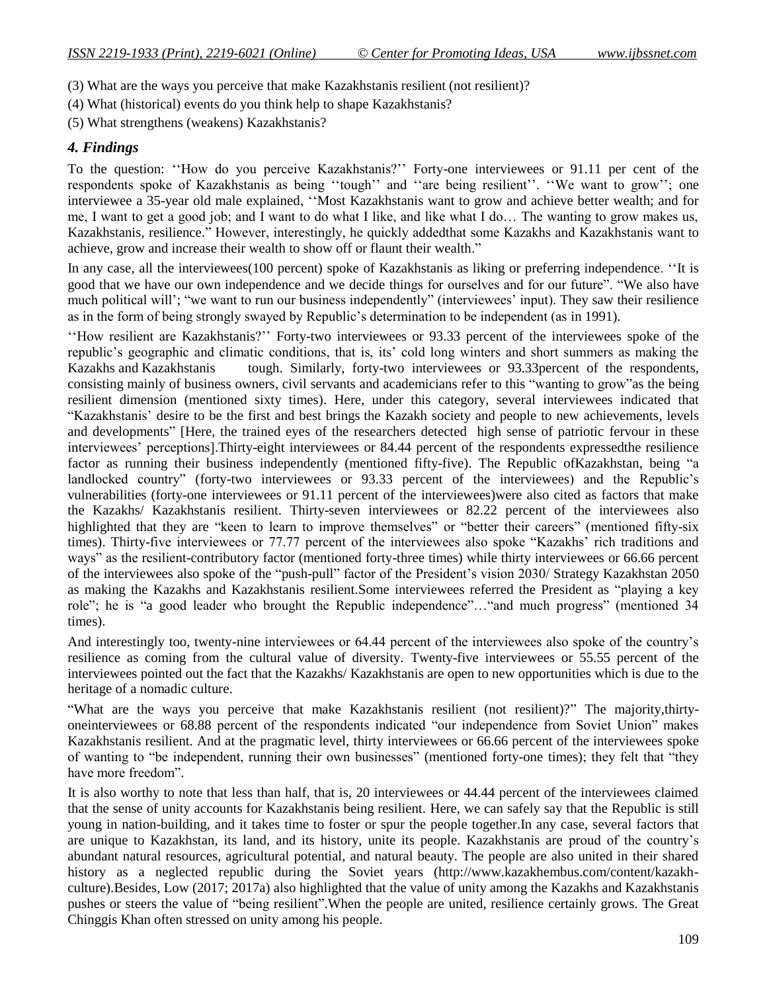- (3) What are the ways you perceive that make Kazakhstanis resilient (not resilient)?
- (4) What (historical) events do you think help to shape Kazakhstanis?
- (5) What strengthens (weakens) Kazakhstanis?

# *4. Findings*

To the question: "How do you perceive Kazakhstanis?" Forty-one interviewees or 91.11 per cent of the respondents spoke of Kazakhstanis as being "tough" and "are being resilient". "We want to grow"; one interviewee a 35-year old male explained, ""Most Kazakhstanis want to grow and achieve better wealth; and for me, I want to get a good job; and I want to do what I like, and like what I do… The wanting to grow makes us, Kazakhstanis, resilience." However, interestingly, he quickly addedthat some Kazakhs and Kazakhstanis want to achieve, grow and increase their wealth to show off or flaunt their wealth."

In any case, all the interviewees(100 percent) spoke of Kazakhstanis as liking or preferring independence. ""It is good that we have our own independence and we decide things for ourselves and for our future". "We also have much political will'; "we want to run our business independently" (interviewees' input). They saw their resilience as in the form of being strongly swayed by Republic"s determination to be independent (as in 1991).

""How resilient are Kazakhstanis?"" Forty-two interviewees or 93.33 percent of the interviewees spoke of the republic"s geographic and climatic conditions, that is, its" cold long winters and short summers as making the Kazakhs and Kazakhstanis tough. Similarly, forty-two interviewees or 93.33percent of the respondents, consisting mainly of business owners, civil servants and academicians refer to this "wanting to grow"as the being resilient dimension (mentioned sixty times). Here, under this category, several interviewees indicated that "Kazakhstanis" desire to be the first and best brings the Kazakh society and people to new achievements, levels and developments" [Here, the trained eyes of the researchers detected high sense of patriotic fervour in these interviewees" perceptions].Thirty-eight interviewees or 84.44 percent of the respondents expressedthe resilience factor as running their business independently (mentioned fifty-five). The Republic ofKazakhstan, being "a landlocked country" (forty-two interviewees or 93.33 percent of the interviewees) and the Republic's vulnerabilities (forty-one interviewees or 91.11 percent of the interviewees)were also cited as factors that make the Kazakhs/ Kazakhstanis resilient. Thirty-seven interviewees or 82.22 percent of the interviewees also highlighted that they are "keen to learn to improve themselves" or "better their careers" (mentioned fifty-six times). Thirty-five interviewees or 77.77 percent of the interviewees also spoke "Kazakhs" rich traditions and ways" as the resilient-contributory factor (mentioned forty-three times) while thirty interviewees or 66.66 percent of the interviewees also spoke of the "push-pull" factor of the President"s vision 2030/ Strategy Kazakhstan 2050 as making the Kazakhs and Kazakhstanis resilient.Some interviewees referred the President as "playing a key role"; he is "a good leader who brought the Republic independence"…"and much progress" (mentioned 34 times).

And interestingly too, twenty-nine interviewees or 64.44 percent of the interviewees also spoke of the country"s resilience as coming from the cultural value of diversity. Twenty-five interviewees or 55.55 percent of the interviewees pointed out the fact that the Kazakhs/ Kazakhstanis are open to new opportunities which is due to the heritage of a nomadic culture.

"What are the ways you perceive that make Kazakhstanis resilient (not resilient)?" The majority, thirtyoneinterviewees or 68.88 percent of the respondents indicated "our independence from Soviet Union" makes Kazakhstanis resilient. And at the pragmatic level, thirty interviewees or 66.66 percent of the interviewees spoke of wanting to "be independent, running their own businesses" (mentioned forty-one times); they felt that "they have more freedom".

It is also worthy to note that less than half, that is, 20 interviewees or 44.44 percent of the interviewees claimed that the sense of unity accounts for Kazakhstanis being resilient. Here, we can safely say that the Republic is still young in nation-building, and it takes time to foster or spur the people together.In any case, several factors that are unique to Kazakhstan, its land, and its history, unite its people. Kazakhstanis are proud of the country"s abundant natural resources, agricultural potential, and natural beauty. The people are also united in their shared history as a neglected republic during the Soviet years (http://www.kazakhembus.com/content/kazakhculture).Besides, Low (2017; 2017a) also highlighted that the value of unity among the Kazakhs and Kazakhstanis pushes or steers the value of "being resilient".When the people are united, resilience certainly grows. The Great Chinggis Khan often stressed on unity among his people.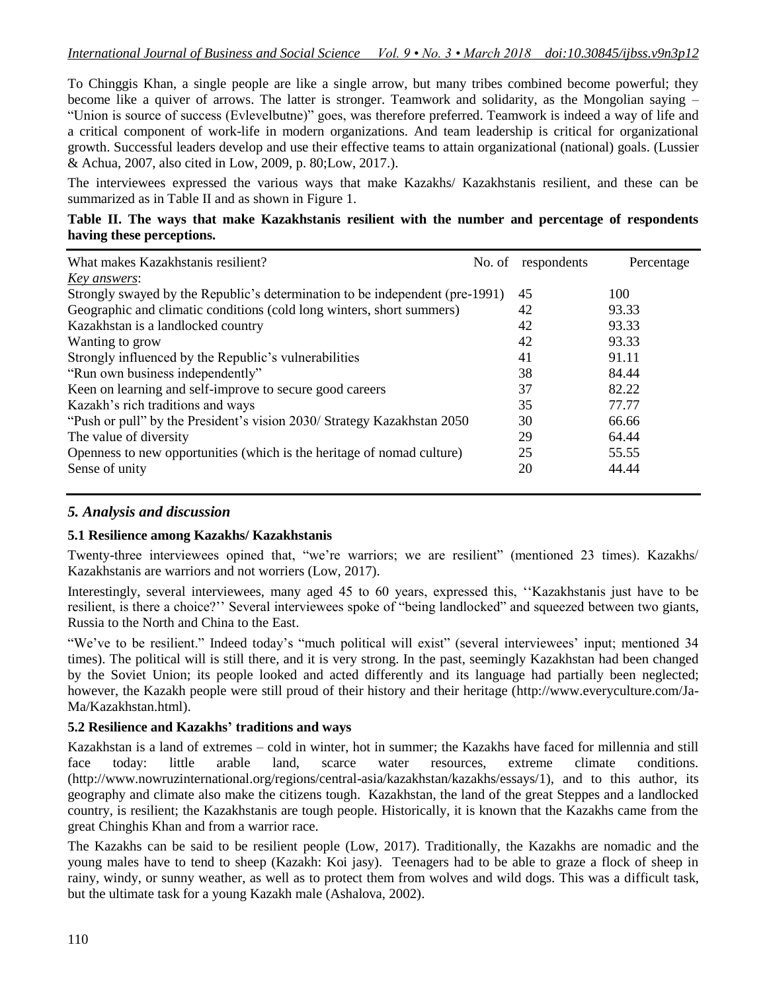To Chinggis Khan, a single people are like a single arrow, but many tribes combined become powerful; they become like a quiver of arrows. The latter is stronger. Teamwork and solidarity, as the Mongolian saying – "Union is source of success (Evlevelbutne)" goes, was therefore preferred. Teamwork is indeed a way of life and a critical component of work-life in modern organizations. And team leadership is critical for organizational growth. Successful leaders develop and use their effective teams to attain organizational (national) goals. (Lussier & Achua, 2007, also cited in Low, 2009, p. 80;Low, 2017.).

The interviewees expressed the various ways that make Kazakhs/ Kazakhstanis resilient, and these can be summarized as in Table II and as shown in Figure 1.

# **Table II. The ways that make Kazakhstanis resilient with the number and percentage of respondents having these perceptions.**

| What makes Kazakhstanis resilient?                                           | No. of | respondents | Percentage |
|------------------------------------------------------------------------------|--------|-------------|------------|
| <u>Key answers:</u>                                                          |        |             |            |
| Strongly swayed by the Republic's determination to be independent (pre-1991) |        | 45          | 100        |
| Geographic and climatic conditions (cold long winters, short summers)        |        | 42          | 93.33      |
| Kazakhstan is a landlocked country                                           |        | 42          | 93.33      |
| Wanting to grow                                                              |        | 42          | 93.33      |
| Strongly influenced by the Republic's vulnerabilities                        |        | 41          | 91.11      |
| "Run own business independently"                                             |        | 38          | 84.44      |
| Keen on learning and self-improve to secure good careers                     |        | 37          | 82.22      |
| Kazakh's rich traditions and ways                                            |        | 35          | 77.77      |
| "Push or pull" by the President's vision 2030/ Strategy Kazakhstan 2050      |        | 30          | 66.66      |
| The value of diversity                                                       |        | 29          | 64.44      |
| Openness to new opportunities (which is the heritage of nomad culture)       |        | 25          | 55.55      |
| Sense of unity                                                               |        | 20          | 44.44      |

# *5. Analysis and discussion*

### **5.1 Resilience among Kazakhs/ Kazakhstanis**

Twenty-three interviewees opined that, "we"re warriors; we are resilient" (mentioned 23 times). Kazakhs/ Kazakhstanis are warriors and not worriers (Low, 2017).

Interestingly, several interviewees, many aged 45 to 60 years, expressed this, ""Kazakhstanis just have to be resilient, is there a choice?" Several interviewees spoke of "being landlocked" and squeezed between two giants, Russia to the North and China to the East.

"We've to be resilient." Indeed today's "much political will exist" (several interviewees' input; mentioned 34 times). The political will is still there, and it is very strong. In the past, seemingly Kazakhstan had been changed by the Soviet Union; its people looked and acted differently and its language had partially been neglected; however, the Kazakh people were still proud of their history and their heritage (http://www.everyculture.com/Ja-Ma/Kazakhstan.html).

# **5.2 Resilience and Kazakhs' traditions and ways**

Kazakhstan is a land of extremes – cold in winter, hot in summer; the Kazakhs have faced for millennia and still face today: little arable land, scarce water resources, extreme climate conditions. (http://www.nowruzinternational.org/regions/central-asia/kazakhstan/kazakhs/essays/1), and to this author, its geography and climate also make the citizens tough. Kazakhstan, the land of the great Steppes and a landlocked country, is resilient; the Kazakhstanis are tough people. Historically, it is known that the Kazakhs came from the great Chinghis Khan and from a warrior race.

The Kazakhs can be said to be resilient people (Low, 2017). Traditionally, the Kazakhs are nomadic and the young males have to tend to sheep (Kazakh: Koi jasy). Teenagers had to be able to graze a flock of sheep in rainy, windy, or sunny weather, as well as to protect them from wolves and wild dogs. This was a difficult task, but the ultimate task for a young Kazakh male (Ashalova, 2002).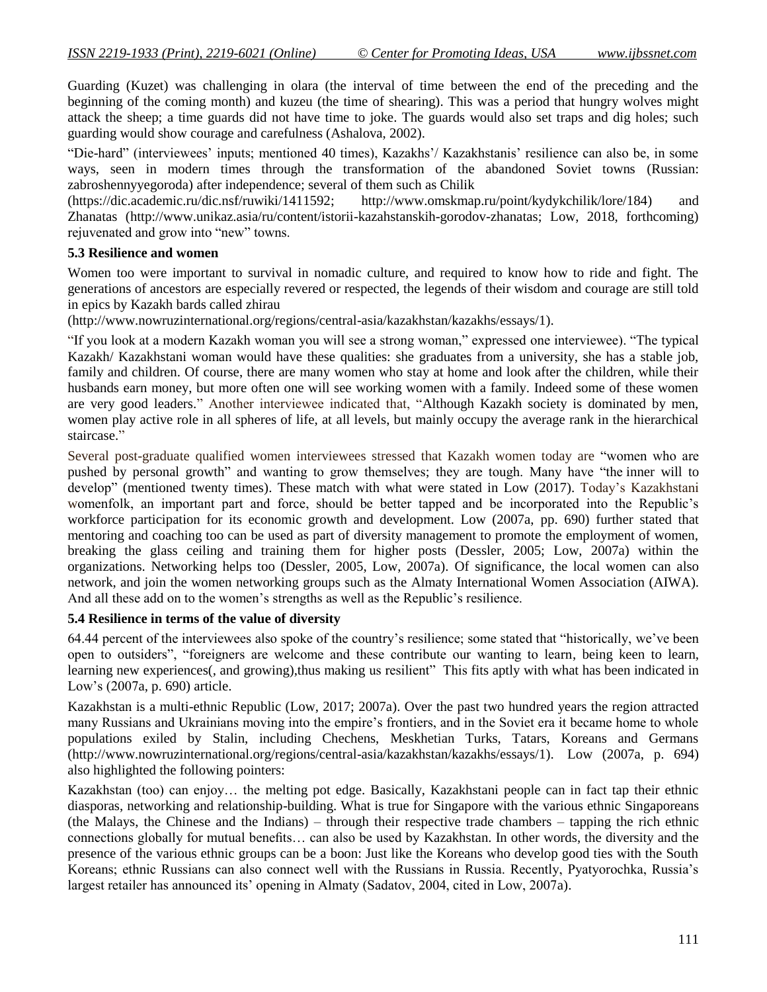Guarding (Kuzet) was challenging in olara (the interval of time between the end of the preceding and the beginning of the coming month) and kuzeu (the time of shearing). This was a period that hungry wolves might attack the sheep; a time guards did not have time to joke. The guards would also set traps and dig holes; such guarding would show courage and carefulness (Ashalova, 2002).

"Die-hard" (interviewees' inputs; mentioned 40 times), Kazakhs'/ Kazakhstanis' resilience can also be, in some ways, seen in modern times through the transformation of the abandoned Soviet towns (Russian: zabroshennyyegoroda) after independence; several of them such as Chilik

(https://dic.academic.ru/dic.nsf/ruwiki/1411592; http://www.omskmap.ru/point/kydykchilik/lore/184) and Zhanatas [\(http://www.unikaz.asia/ru/content/istorii-kazahstanskih-gorodov-zhanatas;](http://www.unikaz.asia/ru/content/istorii-kazahstanskih-gorodov-zhanatas) Low, 2018, forthcoming) rejuvenated and grow into "new" towns.

# **5.3 Resilience and women**

Women too were important to survival in nomadic culture, and required to know how to ride and fight. The generations of ancestors are especially revered or respected, the legends of their wisdom and courage are still told in epics by Kazakh bards called zhirau

(http://www.nowruzinternational.org/regions/central-asia/kazakhstan/kazakhs/essays/1).

"If you look at a modern Kazakh woman you will see a strong woman," expressed one interviewee). "The typical Kazakh/ Kazakhstani woman would have these qualities: she graduates from a university, she has a stable job, family and children. Of course, there are many women who stay at home and look after the children, while their husbands earn money, but more often one will see working women with a family. Indeed some of these women are very good leaders." Another interviewee indicated that, "Although Kazakh society is dominated by men, women play active role in all spheres of life, at all levels, but mainly occupy the average rank in the hierarchical staircase."

Several post-graduate qualified women interviewees stressed that Kazakh women today are "women who are pushed by personal growth" and wanting to grow themselves; they are tough. Many have "the inner will to develop" (mentioned twenty times). These match with what were stated in Low (2017). Today"s Kazakhstani womenfolk, an important part and force, should be better tapped and be incorporated into the Republic"s workforce participation for its economic growth and development. Low (2007a, pp. 690) further stated that mentoring and coaching too can be used as part of diversity management to promote the employment of women, breaking the glass ceiling and training them for higher posts (Dessler, 2005; Low, 2007a) within the organizations. Networking helps too (Dessler, 2005, Low, 2007a). Of significance, the local women can also network, and join the women networking groups such as the Almaty International Women Association (AIWA). And all these add on to the women's strengths as well as the Republic's resilience.

# **5.4 Resilience in terms of the value of diversity**

64.44 percent of the interviewees also spoke of the country"s resilience; some stated that "historically, we"ve been open to outsiders", "foreigners are welcome and these contribute our wanting to learn, being keen to learn, learning new experiences(, and growing), thus making us resilient" This fits aptly with what has been indicated in Low"s (2007a, p. 690) article.

Kazakhstan is a multi-ethnic Republic (Low, 2017; 2007a). Over the past two hundred years the region attracted many Russians and Ukrainians moving into the empire"s frontiers, and in the Soviet era it became home to whole populations exiled by Stalin, including Chechens, Meskhetian Turks, Tatars, Koreans and Germans (http://www.nowruzinternational.org/regions/central-asia/kazakhstan/kazakhs/essays/1). Low (2007a, p. 694) also highlighted the following pointers:

Kazakhstan (too) can enjoy… the melting pot edge. Basically, Kazakhstani people can in fact tap their ethnic diasporas, networking and relationship-building. What is true for Singapore with the various ethnic Singaporeans (the Malays, the Chinese and the Indians) – through their respective trade chambers – tapping the rich ethnic connections globally for mutual benefits… can also be used by Kazakhstan. In other words, the diversity and the presence of the various ethnic groups can be a boon: Just like the Koreans who develop good ties with the South Koreans; ethnic Russians can also connect well with the Russians in Russia. Recently, Pyatyorochka, Russia"s largest retailer has announced its' opening in Almaty (Sadatov, 2004, cited in Low, 2007a).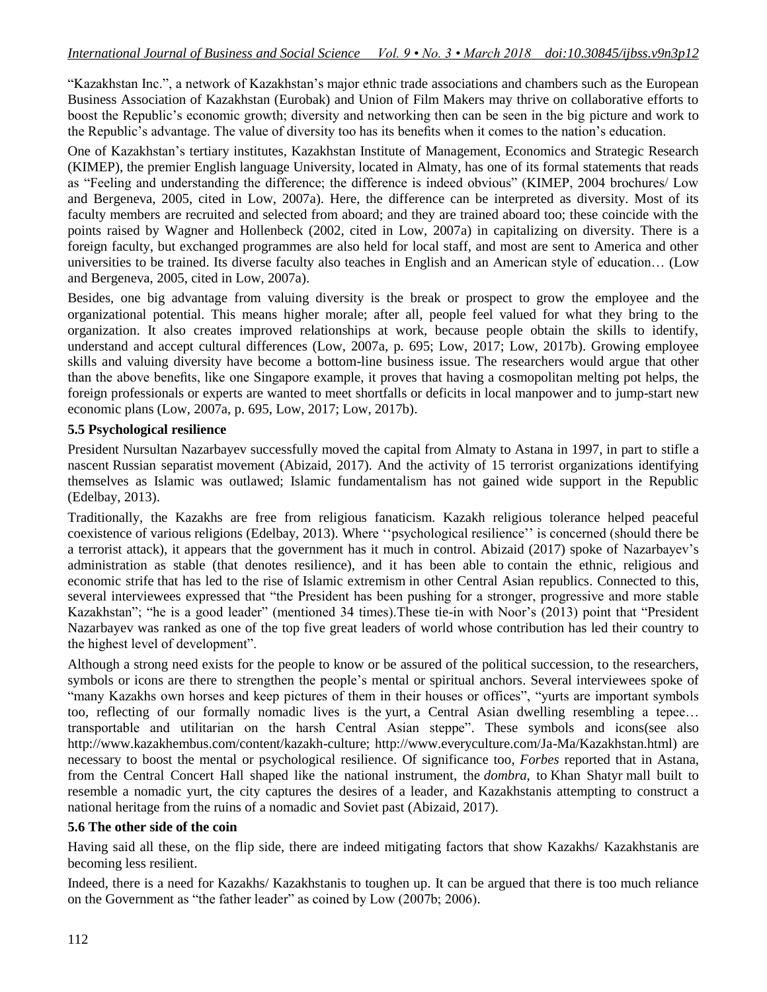"Kazakhstan Inc.", a network of Kazakhstan"s major ethnic trade associations and chambers such as the European Business Association of Kazakhstan (Eurobak) and Union of Film Makers may thrive on collaborative efforts to boost the Republic"s economic growth; diversity and networking then can be seen in the big picture and work to the Republic"s advantage. The value of diversity too has its benefits when it comes to the nation"s education.

One of Kazakhstan"s tertiary institutes, Kazakhstan Institute of Management, Economics and Strategic Research (KIMEP), the premier English language University, located in Almaty, has one of its formal statements that reads as "Feeling and understanding the difference; the difference is indeed obvious" (KIMEP, 2004 brochures/ Low and Bergeneva, 2005, cited in Low, 2007a). Here, the difference can be interpreted as diversity. Most of its faculty members are recruited and selected from aboard; and they are trained aboard too; these coincide with the points raised by Wagner and Hollenbeck (2002, cited in Low, 2007a) in capitalizing on diversity. There is a foreign faculty, but exchanged programmes are also held for local staff, and most are sent to America and other universities to be trained. Its diverse faculty also teaches in English and an American style of education… (Low and Bergeneva, 2005, cited in Low, 2007a).

Besides, one big advantage from valuing diversity is the break or prospect to grow the employee and the organizational potential. This means higher morale; after all, people feel valued for what they bring to the organization. It also creates improved relationships at work, because people obtain the skills to identify, understand and accept cultural differences (Low, 2007a, p. 695; Low, 2017; Low, 2017b). Growing employee skills and valuing diversity have become a bottom-line business issue. The researchers would argue that other than the above benefits, like one Singapore example, it proves that having a cosmopolitan melting pot helps, the foreign professionals or experts are wanted to meet shortfalls or deficits in local manpower and to jump-start new economic plans (Low, 2007a, p. 695, Low, 2017; Low, 2017b).

### **5.5 Psychological resilience**

President Nursultan Nazarbayev successfully moved the capital from Almaty to Astana in 1997, in part to stifle a nascent Russian separatist movement (Abizaid, 2017). And the activity of 15 terrorist organizations identifying themselves as Islamic was outlawed; Islamic fundamentalism has not gained wide support in the Republic (Edelbay, 2013).

Traditionally, the Kazakhs are free from religious fanaticism. Kazakh religious tolerance helped peaceful coexistence of various religions (Edelbay, 2013). Where ""psychological resilience"" is concerned (should there be a terrorist attack), it appears that the government has it much in control. Abizaid (2017) spoke of Nazarbayev"s administration as stable (that denotes resilience), and it has been able to contain the ethnic, religious and economic strife that has led to the rise of Islamic extremism in other Central Asian republics. Connected to this, several interviewees expressed that "the President has been pushing for a stronger, progressive and more stable Kazakhstan"; "he is a good leader" (mentioned 34 times).These tie-in with Noor"s (2013) point that "President Nazarbayev was ranked as one of the top five great leaders of world whose contribution has led their country to the highest level of development".

Although a strong need exists for the people to know or be assured of the political succession, to the researchers, symbols or icons are there to strengthen the people's mental or spiritual anchors. Several interviewees spoke of "many Kazakhs own horses and keep pictures of them in their houses or offices", "yurts are important symbols too, reflecting of our formally nomadic lives is the yurt, a Central Asian dwelling resembling a tepee… transportable and utilitarian on the harsh Central Asian steppe". These symbols and icons(see also http://www.kazakhembus.com/content/kazakh-culture; http://www.everyculture.com/Ja-Ma/Kazakhstan.html) are necessary to boost the mental or psychological resilience. Of significance too, *Forbes* reported that in Astana, from the Central Concert Hall shaped like the national instrument, the *dombra*, to Khan Shatyr mall built to resemble a nomadic yurt, the city captures the desires of a leader, and Kazakhstanis attempting to construct a national heritage from the ruins of a nomadic and Soviet past (Abizaid, 2017).

# **5.6 The other side of the coin**

Having said all these, on the flip side, there are indeed mitigating factors that show Kazakhs/ Kazakhstanis are becoming less resilient.

Indeed, there is a need for Kazakhs/ Kazakhstanis to toughen up. It can be argued that there is too much reliance on the Government as "the father leader" as coined by Low (2007b; 2006).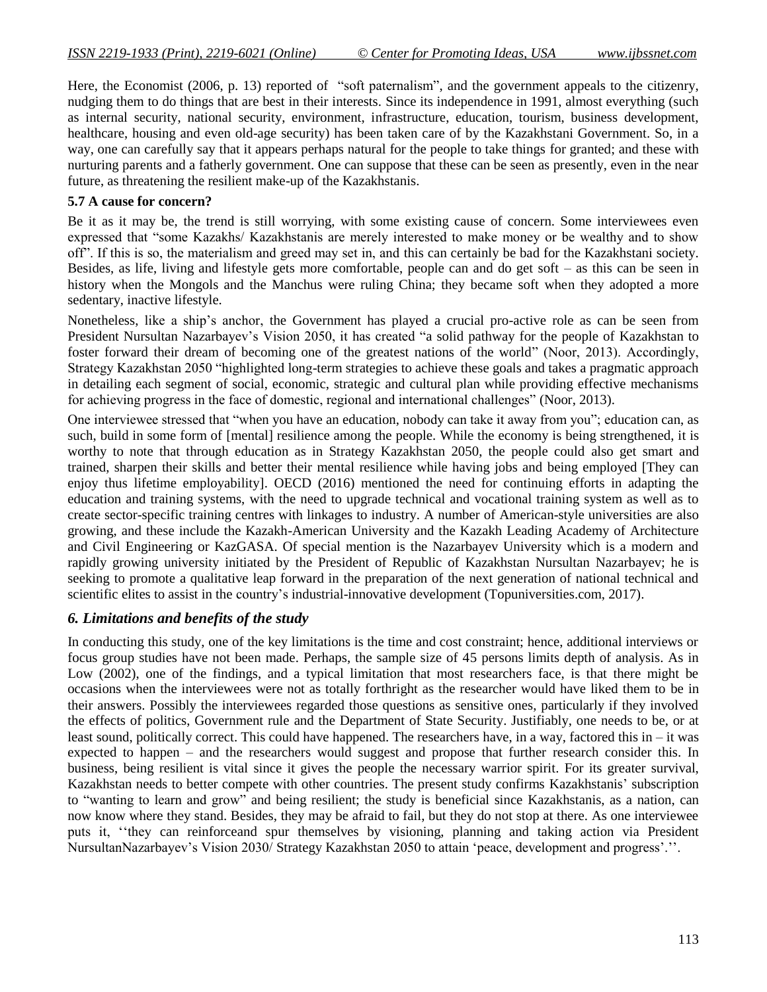Here, the Economist (2006, p. 13) reported of "soft paternalism", and the government appeals to the citizenry, nudging them to do things that are best in their interests. Since its independence in 1991, almost everything (such as internal security, national security, environment, infrastructure, education, tourism, business development, healthcare, housing and even old-age security) has been taken care of by the Kazakhstani Government. So, in a way, one can carefully say that it appears perhaps natural for the people to take things for granted; and these with nurturing parents and a fatherly government. One can suppose that these can be seen as presently, even in the near future, as threatening the resilient make-up of the Kazakhstanis.

#### **5.7 A cause for concern?**

Be it as it may be, the trend is still worrying, with some existing cause of concern. Some interviewees even expressed that "some Kazakhs/ Kazakhstanis are merely interested to make money or be wealthy and to show off". If this is so, the materialism and greed may set in, and this can certainly be bad for the Kazakhstani society. Besides, as life, living and lifestyle gets more comfortable, people can and do get soft – as this can be seen in history when the Mongols and the Manchus were ruling China; they became soft when they adopted a more sedentary, inactive lifestyle.

Nonetheless, like a ship"s anchor, the Government has played a crucial pro-active role as can be seen from President Nursultan Nazarbayev"s Vision 2050, it has created "a solid pathway for the people of Kazakhstan to foster forward their dream of becoming one of the greatest nations of the world" (Noor, 2013). Accordingly, Strategy Kazakhstan 2050 "highlighted long-term strategies to achieve these goals and takes a pragmatic approach in detailing each segment of social, economic, strategic and cultural plan while providing effective mechanisms for achieving progress in the face of domestic, regional and international challenges" (Noor, 2013).

One interviewee stressed that "when you have an education, nobody can take it away from you"; education can, as such, build in some form of [mental] resilience among the people. While the economy is being strengthened, it is worthy to note that through education as in Strategy Kazakhstan 2050, the people could also get smart and trained, sharpen their skills and better their mental resilience while having jobs and being employed [They can enjoy thus lifetime employability]. OECD (2016) mentioned the need for continuing efforts in adapting the education and training systems, with the need to upgrade technical and vocational training system as well as to create sector-specific training centres with linkages to industry. A number of American-style universities are also growing, and these include the Kazakh-American University and the Kazakh Leading Academy of Architecture and Civil Engineering or KazGASA. Of special mention is the Nazarbayev University which is a modern and rapidly growing university initiated by the President of Republic of Kazakhstan Nursultan Nazarbayev; he is seeking to promote a qualitative leap forward in the preparation of the next generation of national technical and scientific elites to assist in the country's industrial-innovative development (Topuniversities.com, 2017).

### *6. Limitations and benefits of the study*

In conducting this study, one of the key limitations is the time and cost constraint; hence, additional interviews or focus group studies have not been made. Perhaps, the sample size of 45 persons limits depth of analysis. As in Low (2002), one of the findings, and a typical limitation that most researchers face, is that there might be occasions when the interviewees were not as totally forthright as the researcher would have liked them to be in their answers. Possibly the interviewees regarded those questions as sensitive ones, particularly if they involved the effects of politics, Government rule and the Department of State Security. Justifiably, one needs to be, or at least sound, politically correct. This could have happened. The researchers have, in a way, factored this in – it was expected to happen – and the researchers would suggest and propose that further research consider this. In business, being resilient is vital since it gives the people the necessary warrior spirit. For its greater survival, Kazakhstan needs to better compete with other countries. The present study confirms Kazakhstanis" subscription to "wanting to learn and grow" and being resilient; the study is beneficial since Kazakhstanis, as a nation, can now know where they stand. Besides, they may be afraid to fail, but they do not stop at there. As one interviewee puts it, ""they can reinforceand spur themselves by visioning, planning and taking action via President NursultanNazarbayev's Vision 2030/ Strategy Kazakhstan 2050 to attain 'peace, development and progress'.".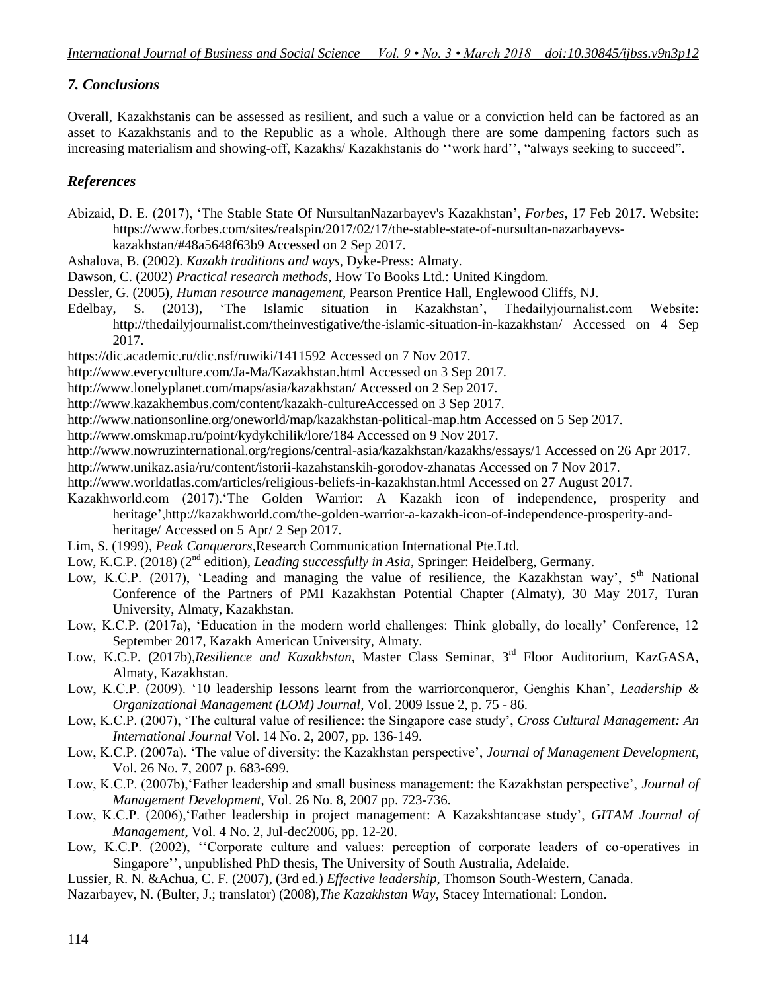# *7. Conclusions*

Overall, Kazakhstanis can be assessed as resilient, and such a value or a conviction held can be factored as an asset to Kazakhstanis and to the Republic as a whole. Although there are some dampening factors such as increasing materialism and showing-off, Kazakhs/ Kazakhstanis do "work hard", "always seeking to succeed".

# *References*

Abizaid, D. E. (2017), "The Stable State Of NursultanNazarbayev's Kazakhstan", *Forbes*, 17 Feb 2017. Website: https://www.forbes.com/sites/realspin/2017/02/17/the-stable-state-of-nursultan-nazarbayevs-

kazakhstan/#48a5648f63b9 Accessed on 2 Sep 2017.

- Ashalova, B. (2002). *Kazakh traditions and ways*, Dyke-Press: Almaty.
- Dawson, C. (2002) *Practical research methods*, How To Books Ltd.: United Kingdom.

Dessler, G. (2005), *Human resource management*, Pearson Prentice Hall, Englewood Cliffs, NJ.

Edelbay, S. (2013), "The Islamic situation in Kazakhstan", Thedailyjournalist.com Website: http://thedailyjournalist.com/theinvestigative/the-islamic-situation-in-kazakhstan/ Accessed on 4 Sep 2017.

<https://dic.academic.ru/dic.nsf/ruwiki/1411592> Accessed on 7 Nov 2017.

- http://www.everyculture.com/Ja-Ma/Kazakhstan.html Accessed on 3 Sep 2017.
- http://www.lonelyplanet.com/maps/asia/kazakhstan/ Accessed on 2 Sep 2017.
- http://www.kazakhembus.com/content/kazakh-cultureAccessed on 3 Sep 2017.
- http://www.nationsonline.org/oneworld/map/kazakhstan-political-map.htm Accessed on 5 Sep 2017.
- http://www.omskmap.ru/point/kydykchilik/lore/184 Accessed on 9 Nov 2017.

http://www.nowruzinternational.org/regions/central-asia/kazakhstan/kazakhs/essays/1 Accessed on 26 Apr 2017.

- <http://www.unikaz.asia/ru/content/istorii-kazahstanskih-gorodov-zhanatas> Accessed on 7 Nov 2017.
- http://www.worldatlas.com/articles/religious-beliefs-in-kazakhstan.html Accessed on 27 August 2017.
- Kazakhworld.com (2017)."The Golden Warrior: A Kazakh icon of independence, prosperity and heritage",http://kazakhworld.com/the-golden-warrior-a-kazakh-icon-of-independence-prosperity-andheritage/ Accessed on 5 Apr/ 2 Sep 2017.
- Lim, S. (1999), *Peak Conquerors*,Research Communication International Pte.Ltd.
- Low, K.C.P. (2018) (2<sup>nd</sup> edition), *Leading successfully in Asia*, Springer: Heidelberg, Germany.
- Low, K.C.P. (2017), 'Leading and managing the value of resilience, the Kazakhstan way',  $5<sup>th</sup>$  National Conference of the Partners of PMI Kazakhstan Potential Chapter (Almaty), 30 May 2017, Turan University, Almaty, Kazakhstan.
- Low, K.C.P. (2017a), "Education in the modern world challenges: Think globally, do locally" Conference, 12 September 2017, Kazakh American University, Almaty.
- Low, K.C.P. (2017b),*Resilience and Kazakhstan*, Master Class Seminar, 3rd Floor Auditorium, KazGASA, Almaty, Kazakhstan.
- Low, K.C.P. (2009). "10 leadership lessons learnt from the warriorconqueror, Genghis Khan", *Leadership & Organizational Management (LOM) Journal*, Vol. 2009 Issue 2, p. 75 - 86.
- Low, K.C.P. (2007), "The cultural value of resilience: the Singapore case study", *Cross Cultural Management: An International Journal* Vol. 14 No. 2, 2007, pp. 136-149.
- Low, K.C.P. (2007a). "The value of diversity: the Kazakhstan perspective", *Journal of Management Development*, Vol. 26 No. 7, 2007 p. 683-699.
- Low, K.C.P. (2007b), Father leadership and small business management: the Kazakhstan perspective', *Journal of Management Development*, Vol. 26 No. 8, 2007 pp. 723-736.
- Low, K.C.P. (2006), Father leadership in project management: A Kazakshtancase study', *GITAM Journal of Management*, Vol. 4 No. 2, Jul-dec2006, pp. 12-20.
- Low, K.C.P. (2002), "Corporate culture and values: perception of corporate leaders of co-operatives in Singapore", unpublished PhD thesis, The University of South Australia, Adelaide.

Lussier, R. N. &Achua, C. F. (2007), (3rd ed.) *Effective leadership*, Thomson South-Western, Canada.

Nazarbayev, N. (Bulter, J.; translator) (2008),*The Kazakhstan Way*, Stacey International: London.